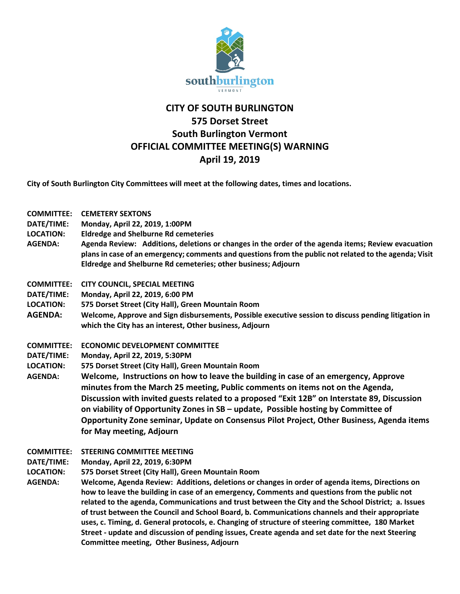

## **CITY OF SOUTH BURLINGTON 575 Dorset Street South Burlington Vermont OFFICIAL COMMITTEE MEETING(S) WARNING April 19, 2019**

**City of South Burlington City Committees will meet at the following dates, times and locations.** 

- **COMMITTEE: CEMETERY SEXTONS**
- **DATE/TIME: Monday, April 22, 2019, 1:00PM**
- **LOCATION: Eldredge and Shelburne Rd cemeteries**
- **AGENDA: Agenda Review: Additions, deletions or changes in the order of the agenda items; Review evacuation plans in case of an emergency; comments and questions from the public not related to the agenda; Visit Eldredge and Shelburne Rd cemeteries; other business; Adjourn**
- **COMMITTEE: CITY COUNCIL, SPECIAL MEETING**
- **DATE/TIME: Monday, April 22, 2019, 6:00 PM**
- **LOCATION: 575 Dorset Street (City Hall), Green Mountain Room**
- **AGENDA: Welcome, Approve and Sign disbursements, Possible executive session to discuss pending litigation in which the City has an interest, Other business, Adjourn**
- **COMMITTEE: ECONOMIC DEVELOPMENT COMMITTEE**
- **DATE/TIME: Monday, April 22, 2019, 5:30PM**
- **LOCATION: 575 Dorset Street (City Hall), Green Mountain Room**
- **AGENDA: Welcome, Instructions on how to leave the building in case of an emergency, Approve minutes from the March 25 meeting, Public comments on items not on the Agenda, Discussion with invited guests related to a proposed "Exit 12B" on Interstate 89, Discussion on viability of Opportunity Zones in SB – update, Possible hosting by Committee of Opportunity Zone seminar, Update on Consensus Pilot Project, Other Business, Agenda items for May meeting, Adjourn**
- **COMMITTEE: STEERING COMMITTEE MEETING**
- **DATE/TIME: Monday, April 22, 2019, 6:30PM**
- **LOCATION: 575 Dorset Street (City Hall), Green Mountain Room**
- **AGENDA: Welcome, Agenda Review: Additions, deletions or changes in order of agenda items, Directions on how to leave the building in case of an emergency, Comments and questions from the public not related to the agenda, Communications and trust between the City and the School District; a. Issues of trust between the Council and School Board, b. Communications channels and their appropriate uses, c. Timing, d. General protocols, e. Changing of structure of steering committee, 180 Market Street - update and discussion of pending issues, Create agenda and set date for the next Steering Committee meeting, Other Business, Adjourn**